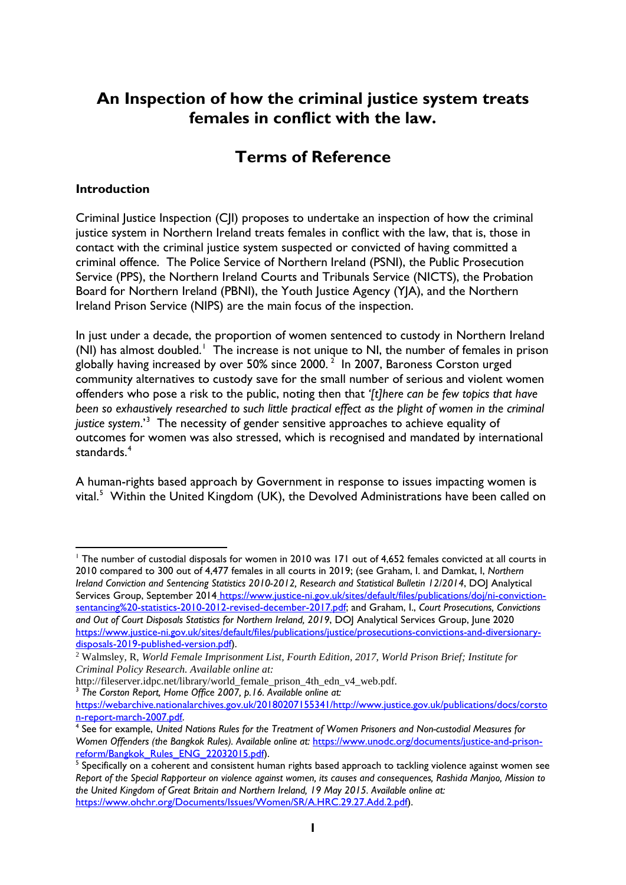## **An Inspection of how the criminal justice system treats females in conflict with the law.**

# **Terms of Reference**

#### **Introduction**

Criminal Justice Inspection (CJI) proposes to undertake an inspection of how the criminal justice system in Northern Ireland treats females in conflict with the law, that is, those in contact with the criminal justice system suspected or convicted of having committed a criminal offence. The Police Service of Northern Ireland (PSNI), the Public Prosecution Service (PPS), the Northern Ireland Courts and Tribunals Service (NICTS), the Probation Board for Northern Ireland (PBNI), the Youth Justice Agency (YJA), and the Northern Ireland Prison Service (NIPS) are the main focus of the inspection.

In just under a decade, the proportion of women sentenced to custody in Northern Ireland (NI) has almost doubled. [1](#page-0-0) The increase is not unique to NI, the number of females in prison globally having increased by over 50% since [2](#page-0-1)000.  $^2\,$  In 2007, Baroness Corston urged community alternatives to custody save for the small number of serious and violent women offenders who pose a risk to the public, noting then that *'[t]here can be few topics that have been so exhaustively researched to such little practical effect as the plight of women in the criminal justice system*.'[3](#page-0-2) The necessity of gender sensitive approaches to achieve equality of outcomes for women was also stressed, which is recognised and mandated by international standards.<sup>[4](#page-0-3)</sup>

A human-rights based approach by Government in response to issues impacting women is vital.<sup>[5](#page-0-4)</sup> Within the United Kingdom (UK), the Devolved Administrations have been called on

<span id="page-0-0"></span><sup>&</sup>lt;sup>1</sup> The number of custodial disposals for women in 2010 was 171 out of 4,652 females convicted at all courts in 2010 compared to 300 out of 4,477 females in all courts in 2019; (see Graham, I. and Damkat, I, *Northern Ireland Conviction and Sentencing Statistics 2010-2012, Research and Statistical Bulletin 12/2014*, DOJ Analytical Services Group, September 2014 https://www.justice-ni.gov.uk/sites/default/files/publications/doj/ni-convictionsentancing%20-statistics-2010-2012-revised-december-2017.pdf; and Graham, I., *Court Prosecutions, Convictions and Out of Court Disposals Statistics for Northern Ireland, 2019*, DOJ Analytical Services Group, June 2020 [https://www.justice-ni.gov.uk/sites/default/files/publications/justice/prosecutions-convictions-and-diversionary](https://www.justice-ni.gov.uk/sites/default/files/publications/justice/prosecutions-convictions-and-diversionary-disposals-2019-published-version.pdf)[disposals-2019-published-version.pdf\)](https://www.justice-ni.gov.uk/sites/default/files/publications/justice/prosecutions-convictions-and-diversionary-disposals-2019-published-version.pdf).

<span id="page-0-1"></span><sup>2</sup> Walmsley, R, *World Female Imprisonment List, Fourth Edition, 2017, World Prison Brief; Institute for Criminal Policy Research. Available online at:*

http://fileserver.idpc.net/library/world\_female\_prison\_4th\_edn\_v4\_web.pdf. <sup>3</sup> *The Corston Report, Home Office 2007, p.16. Available online at:*

<span id="page-0-2"></span>[https://webarchive.nationalarchives.gov.uk/20180207155341/http://www.justice.gov.uk/publications/docs/corsto](https://webarchive.nationalarchives.gov.uk/20180207155341/http:/www.justice.gov.uk/publications/docs/corston-report-march-2007.pdf) [n-report-march-2007.pdf.](https://webarchive.nationalarchives.gov.uk/20180207155341/http:/www.justice.gov.uk/publications/docs/corston-report-march-2007.pdf)

<span id="page-0-3"></span><sup>4</sup> See for example, *United Nations Rules for the Treatment of Women Prisoners and Non-custodial Measures for*  Women Offenders (the Bangkok Rules). Available online at: https://www.unodc.org/documents/justice-and-prison-<br>reform/Bangkok Rules ENG 22032015.pdf).

<span id="page-0-4"></span><sup>&</sup>lt;sup>[5](https://www.unodc.org/documents/justice-and-prison-reform/Bangkok_Rules_ENG_22032015.pdf)</sup> Specifically on a coherent and consistent human rights based approach to tackling violence against women see *Report of the Special Rapporteur on violence against women, its causes and consequences, Rashida Manjoo, Mission to the United Kingdom of Great Britain and Northern Ireland, 19 May 2015. Available online at:* [https://www.ohchr.org/Documents/Issues/Women/SR/A.HRC.29.27.Add.2.pdf\)](https://www.ohchr.org/Documents/Issues/Women/SR/A.HRC.29.27.Add.2.pdf).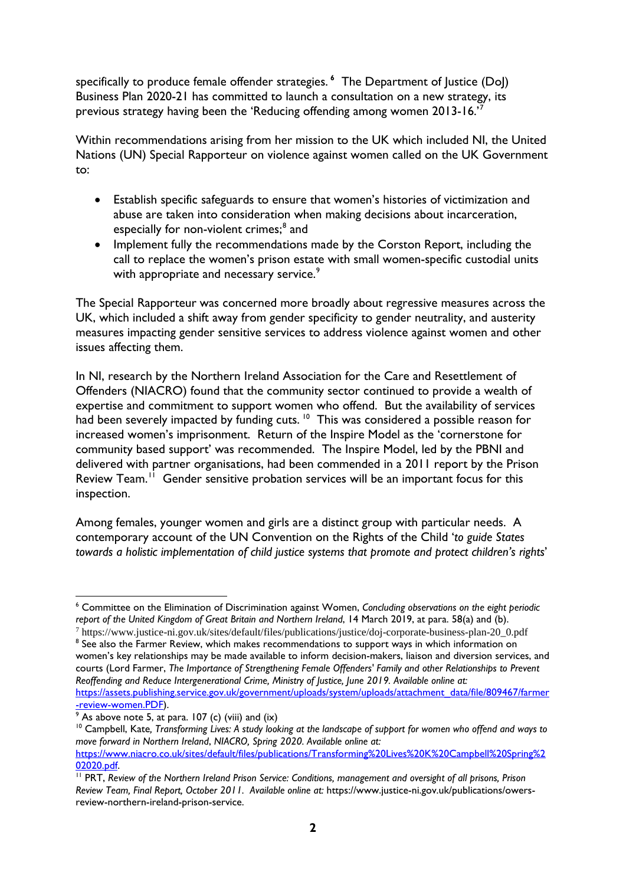specifically to produce female offender strategies. **[6](#page-1-0)** The Department of Justice (DoJ) Business Plan 2020-21 has committed to launch a consultation on a new strategy, its previous strategy having been the 'Reducing offending among women 2013-16.' [7](#page-1-1)

Within recommendations arising from her mission to the UK which included NI, the United Nations (UN) Special Rapporteur on violence against women called on the UK Government to:

- Establish specific safeguards to ensure that women's histories of victimization and abuse are taken into consideration when making decisions about incarceration, especially for non-violent crimes;<sup>[8](#page-1-2)</sup> and
- Implement fully the recommendations made by the Corston Report, including the call to replace the women's prison estate with small women-specific custodial units with appropriate and necessary service.<sup>[9](#page-1-3)</sup>

The Special Rapporteur was concerned more broadly about regressive measures across the UK, which included a shift away from gender specificity to gender neutrality, and austerity measures impacting gender sensitive services to address violence against women and other issues affecting them.

In NI, research by the Northern Ireland Association for the Care and Resettlement of Offenders (NIACRO) found that the community sector continued to provide a wealth of expertise and commitment to support women who offend. But the availability of services had been severely impacted by funding cuts.<sup>10</sup> This was considered a possible reason for increased women's imprisonment. Return of the Inspire Model as the 'cornerstone for community based support' was recommended. The Inspire Model, led by the PBNI and delivered with partner organisations, had been commended in a 2011 report by the Prison Review Team.<sup>[11](#page-1-5)</sup> Gender sensitive probation services will be an important focus for this inspection.

Among females, younger women and girls are a distinct group with particular needs. A contemporary account of the UN Convention on the Rights of the Child '*to guide States towards a holistic implementation of child justice systems that promote and protect children's rights*'

<span id="page-1-0"></span><sup>6</sup> Committee on the Elimination of Discrimination against Women, *Concluding observations on the eight periodic report of the United Kingdom of Great Britain and Northern Ireland*, 14 March 2019, at para. 58(a) and (b).

<span id="page-1-2"></span><span id="page-1-1"></span><sup>7</sup> https://www.justice-ni.gov.uk/sites/default/files/publications/justice/doj-corporate-business-plan-20\_0.pdf <sup>8</sup> See also the Farmer Review, which makes recommendations to support ways in which information on women's key relationships may be made available to inform decision-makers, liaison and diversion services, and courts (Lord Farmer, *The Importance of Strengthening Female Offenders' Family and other Relationships to Prevent Reoffending and Reduce Intergenerational Crime, Ministry of Justice, June 2019. Available online at:* [https://assets.publishing.service.gov.uk/government/uploads/system/uploads/attachment\\_data/file/809467/farmer](https://assets.publishing.service.gov.uk/government/uploads/system/uploads/attachment_data/file/809467/farmer-review-women.PDF)  $\frac{1}{2}$  [-review-women.PDF\)](https://assets.publishing.service.gov.uk/government/uploads/system/uploads/attachment_data/file/809467/farmer-review-women.PDF).<br><sup>[9](https://assets.publishing.service.gov.uk/government/uploads/system/uploads/attachment_data/file/809467/farmer-review-women.PDF)</sup> As above note 5, at para. 107 (c) (viii) and (ix)

<span id="page-1-3"></span>

<span id="page-1-4"></span><sup>&</sup>lt;sup>10</sup> Campbell, Kate, Transforming Lives: A study looking at the landscape of support for women who offend and ways to *move forward in Northern Ireland*, *NIACRO, Spring 2020. Available online at:* 

[https://www.niacro.co.uk/sites/default/files/publications/Transforming%20Lives%20K%20Campbell%20Spring%2](https://www.niacro.co.uk/sites/default/files/publications/Transforming%20Lives%20K%20Campbell%20Spring%202020.pdf)<br>02020.pdf.

<span id="page-1-5"></span><sup>&</sup>lt;sup>[11](https://www.niacro.co.uk/sites/default/files/publications/Transforming%20Lives%20K%20Campbell%20Spring%202020.pdf)</sup> PRT, Review of the Northern Ireland Prison Service: Conditions, management and oversight of all prisons, Prison *Review Team, Final Report, October 2011. Available online at:* https://www.justice-ni.gov.uk/publications/owersreview-northern-ireland-prison-service.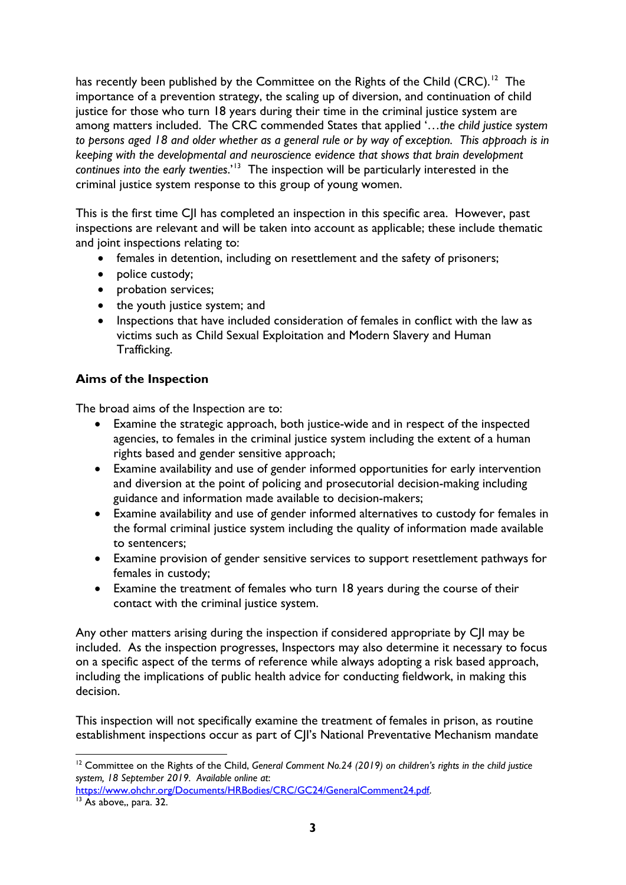has recently been published by the Committee on the Rights of the Child (CRC).<sup>12</sup> The importance of a prevention strategy, the scaling up of diversion, and continuation of child justice for those who turn 18 years during their time in the criminal justice system are among matters included. The CRC commended States that applied '…*the child justice system to persons aged 18 and older whether as a general rule or by way of exception. This approach is in keeping with the developmental and neuroscience evidence that shows that brain development continues into the early twenties*.'[13](#page-2-1) The inspection will be particularly interested in the criminal justice system response to this group of young women.

This is the first time CII has completed an inspection in this specific area. However, past inspections are relevant and will be taken into account as applicable; these include thematic and joint inspections relating to:

- females in detention, including on resettlement and the safety of prisoners;
- police custody;
- probation services;
- the youth justice system; and
- Inspections that have included consideration of females in conflict with the law as victims such as Child Sexual Exploitation and Modern Slavery and Human Trafficking.

### **Aims of the Inspection**

The broad aims of the Inspection are to:

- Examine the strategic approach, both justice-wide and in respect of the inspected agencies, to females in the criminal justice system including the extent of a human rights based and gender sensitive approach;
- Examine availability and use of gender informed opportunities for early intervention and diversion at the point of policing and prosecutorial decision-making including guidance and information made available to decision-makers;
- Examine availability and use of gender informed alternatives to custody for females in the formal criminal justice system including the quality of information made available to sentencers;
- Examine provision of gender sensitive services to support resettlement pathways for females in custody;
- Examine the treatment of females who turn 18 years during the course of their contact with the criminal justice system.

Any other matters arising during the inspection if considered appropriate by CJI may be included. As the inspection progresses, Inspectors may also determine it necessary to focus on a specific aspect of the terms of reference while always adopting a risk based approach, including the implications of public health advice for conducting fieldwork, in making this decision.

This inspection will not specifically examine the treatment of females in prison, as routine establishment inspections occur as part of C|I's National Preventative Mechanism mandate

<span id="page-2-0"></span><sup>&</sup>lt;sup>12</sup> Committee on the Rights of the Child, *General Comment No.24 (2019)* on children's rights in the child justice *system, 18 September 2019. Available online at*:

<span id="page-2-1"></span>https://www.ohchr.org/Documents/HRBodies/CRC/GC24/GeneralComment24.pdf.<br><sup>13</sup> As above,, para. 32.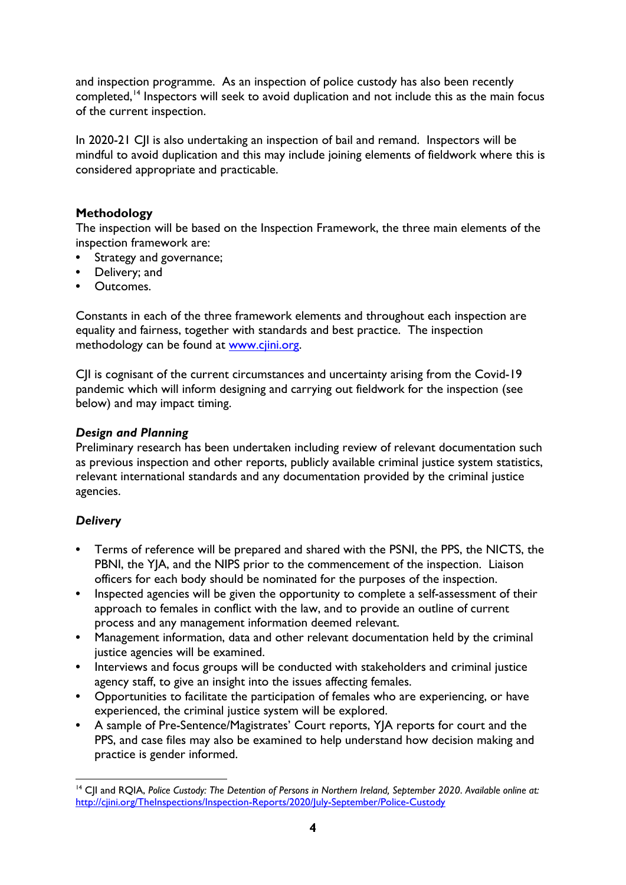and inspection programme. As an inspection of police custody has also been recently completed,<sup>[14](#page-3-0)</sup> Inspectors will seek to avoid duplication and not include this as the main focus of the current inspection.

In 2020-21 CJI is also undertaking an inspection of bail and remand. Inspectors will be mindful to avoid duplication and this may include joining elements of fieldwork where this is considered appropriate and practicable.

### **Methodology**

The inspection will be based on the Inspection Framework, the three main elements of the inspection framework are:

- **•** Strategy and governance;
- **•** Delivery; and
- **•** Outcomes.

Constants in each of the three framework elements and throughout each inspection are equality and fairness, together with standards and best practice. The inspection methodology can be found at [www.cjini.org.](http://www.cjini.org/)

CII is cognisant of the current circumstances and uncertainty arising from the Covid-19 pandemic which will inform designing and carrying out fieldwork for the inspection (see below) and may impact timing.

#### *Design and Planning*

Preliminary research has been undertaken including review of relevant documentation such as previous inspection and other reports, publicly available criminal justice system statistics, relevant international standards and any documentation provided by the criminal justice agencies.

#### *Delivery*

- **•** Terms of reference will be prepared and shared with the PSNI, the PPS, the NICTS, the PBNI, the YJA, and the NIPS prior to the commencement of the inspection. Liaison officers for each body should be nominated for the purposes of the inspection.
- **•** Inspected agencies will be given the opportunity to complete a self-assessment of their approach to females in conflict with the law, and to provide an outline of current process and any management information deemed relevant.
- **•** Management information, data and other relevant documentation held by the criminal justice agencies will be examined.
- **•** Interviews and focus groups will be conducted with stakeholders and criminal justice agency staff, to give an insight into the issues affecting females.
- **•** Opportunities to facilitate the participation of females who are experiencing, or have experienced, the criminal justice system will be explored.
- **•** A sample of Pre-Sentence/Magistrates' Court reports, YJA reports for court and the PPS, and case files may also be examined to help understand how decision making and practice is gender informed.

<span id="page-3-0"></span><sup>14</sup> CJI and RQIA, *Police Custody: The Detention of Persons in Northern Ireland, September 2020*. *Available online at:* <http://cjini.org/TheInspections/Inspection-Reports/2020/July-September/Police-Custody>